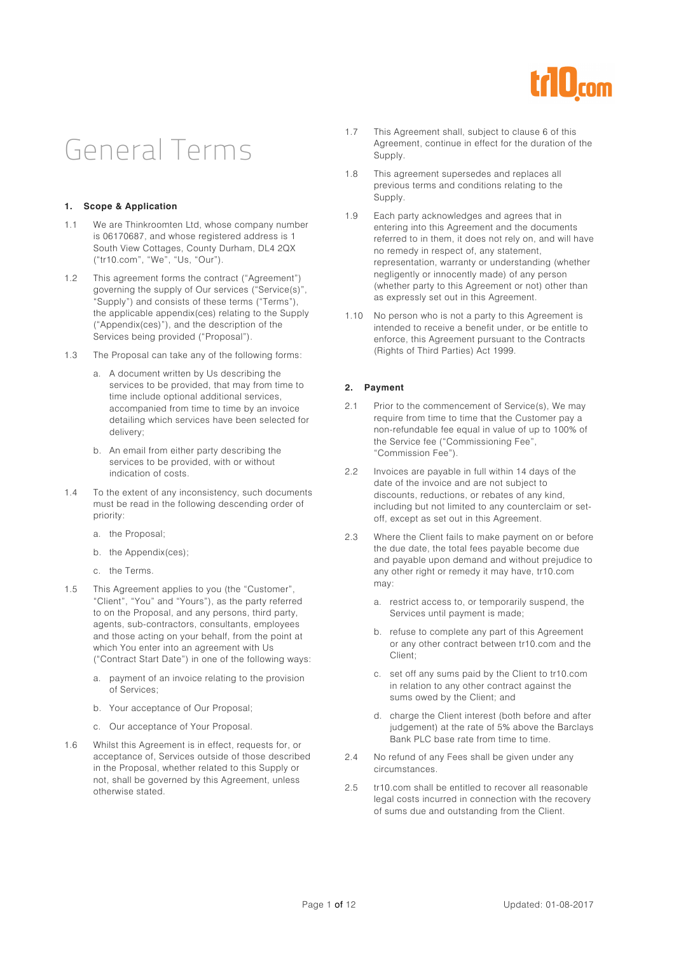

## General Terms

#### **1. Scope & Application**

- 1.1 We are Thinkroomten Ltd, whose company number is 06170687, and whose registered address is 1 South View Cottages, County Durham, DL4 2QX ("tr10.com", "We", "Us, "Our").
- 1.2 This agreement forms the contract ("Agreement") governing the supply of Our services ("Service(s)", "Supply") and consists of these terms ("Terms"), the applicable appendix(ces) relating to the Supply ("Appendix(ces)"), and the description of the Services being provided ("Proposal").
- 1.3 The Proposal can take any of the following forms:
	- a. A document written by Us describing the services to be provided, that may from time to time include optional additional services, accompanied from time to time by an invoice detailing which services have been selected for delivery;
	- b. An email from either party describing the services to be provided, with or without indication of costs.
- 1.4 To the extent of any inconsistency, such documents must be read in the following descending order of priority:
	- a. the Proposal;
	- b. the Appendix(ces);
	- c. the Terms.
- 1.5 This Agreement applies to you (the "Customer", "Client", "You" and "Yours"), as the party referred to on the Proposal, and any persons, third party, agents, sub-contractors, consultants, employees and those acting on your behalf, from the point at which You enter into an agreement with Us ("Contract Start Date") in one of the following ways:
	- a. payment of an invoice relating to the provision of Services;
	- b. Your acceptance of Our Proposal;
	- c. Our acceptance of Your Proposal.
- 1.6 Whilst this Agreement is in effect, requests for, or acceptance of, Services outside of those described in the Proposal, whether related to this Supply or not, shall be governed by this Agreement, unless otherwise stated.
- 1.7 This Agreement shall, subject to clause 6 of this Agreement, continue in effect for the duration of the Supply.
- 1.8 This agreement supersedes and replaces all previous terms and conditions relating to the Supply.
- 1.9 Each party acknowledges and agrees that in entering into this Agreement and the documents referred to in them, it does not rely on, and will have no remedy in respect of, any statement, representation, warranty or understanding (whether negligently or innocently made) of any person (whether party to this Agreement or not) other than as expressly set out in this Agreement.
- 1.10 No person who is not a party to this Agreement is intended to receive a benefit under, or be entitle to enforce, this Agreement pursuant to the Contracts (Rights of Third Parties) Act 1999.

#### **2. Payment**

- 2.1 Prior to the commencement of Service(s), We may require from time to time that the Customer pay a non-refundable fee equal in value of up to 100% of the Service fee ("Commissioning Fee", "Commission Fee").
- 2.2 Invoices are payable in full within 14 days of the date of the invoice and are not subject to discounts, reductions, or rebates of any kind, including but not limited to any counterclaim or setoff, except as set out in this Agreement.
- 2.3 Where the Client fails to make payment on or before the due date, the total fees payable become due and payable upon demand and without prejudice to any other right or remedy it may have, tr10.com may:
	- a. restrict access to, or temporarily suspend, the Services until payment is made;
	- b. refuse to complete any part of this Agreement or any other contract between tr10.com and the Client;
	- c. set off any sums paid by the Client to tr10.com in relation to any other contract against the sums owed by the Client; and
	- d. charge the Client interest (both before and after judgement) at the rate of 5% above the Barclays Bank PLC base rate from time to time.
- 2.4 No refund of any Fees shall be given under any circumstances.
- 2.5 tr10.com shall be entitled to recover all reasonable legal costs incurred in connection with the recovery of sums due and outstanding from the Client.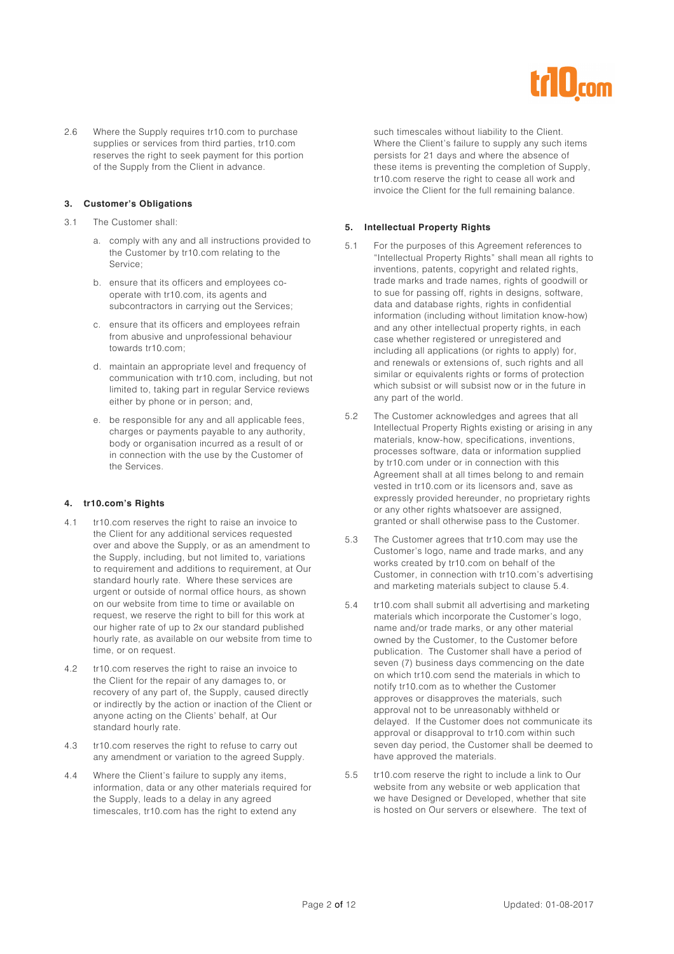

2.6 Where the Supply requires tr10.com to purchase supplies or services from third parties, tr10.com reserves the right to seek payment for this portion of the Supply from the Client in advance.

#### **3. Customer's Obligations**

- 3.1 The Customer shall:
	- a. comply with any and all instructions provided to the Customer by tr10.com relating to the Service;
	- b. ensure that its officers and employees cooperate with tr10.com, its agents and subcontractors in carrying out the Services;
	- c. ensure that its officers and employees refrain from abusive and unprofessional behaviour towards tr10.com;
	- d. maintain an appropriate level and frequency of communication with tr10.com, including, but not limited to, taking part in regular Service reviews either by phone or in person; and,
	- e. be responsible for any and all applicable fees, charges or payments payable to any authority, body or organisation incurred as a result of or in connection with the use by the Customer of the Services.

#### **4. tr10.com's Rights**

- 4.1 tr10.com reserves the right to raise an invoice to the Client for any additional services requested over and above the Supply, or as an amendment to the Supply, including, but not limited to, variations to requirement and additions to requirement, at Our standard hourly rate. Where these services are urgent or outside of normal office hours, as shown on our website from time to time or available on request, we reserve the right to bill for this work at our higher rate of up to 2x our standard published hourly rate, as available on our website from time to time, or on request.
- 4.2 tr10.com reserves the right to raise an invoice to the Client for the repair of any damages to, or recovery of any part of, the Supply, caused directly or indirectly by the action or inaction of the Client or anyone acting on the Clients' behalf, at Our standard hourly rate.
- 4.3 tr10.com reserves the right to refuse to carry out any amendment or variation to the agreed Supply.
- 4.4 Where the Client's failure to supply any items, information, data or any other materials required for the Supply, leads to a delay in any agreed timescales, tr10.com has the right to extend any

such timescales without liability to the Client. Where the Client's failure to supply any such items persists for 21 days and where the absence of these items is preventing the completion of Supply, tr10.com reserve the right to cease all work and invoice the Client for the full remaining balance.

#### **5. Intellectual Property Rights**

- 5.1 For the purposes of this Agreement references to "Intellectual Property Rights" shall mean all rights to inventions, patents, copyright and related rights, trade marks and trade names, rights of goodwill or to sue for passing off, rights in designs, software, data and database rights, rights in confidential information (including without limitation know-how) and any other intellectual property rights, in each case whether registered or unregistered and including all applications (or rights to apply) for, and renewals or extensions of, such rights and all similar or equivalents rights or forms of protection which subsist or will subsist now or in the future in any part of the world.
- 5.2 The Customer acknowledges and agrees that all Intellectual Property Rights existing or arising in any materials, know-how, specifications, inventions, processes software, data or information supplied by tr10.com under or in connection with this Agreement shall at all times belong to and remain vested in tr10.com or its licensors and, save as expressly provided hereunder, no proprietary rights or any other rights whatsoever are assigned, granted or shall otherwise pass to the Customer.
- 5.3 The Customer agrees that tr10.com may use the Customer's logo, name and trade marks, and any works created by tr10.com on behalf of the Customer, in connection with tr10.com's advertising and marketing materials subject to clause 5.4.
- 5.4 tr10.com shall submit all advertising and marketing materials which incorporate the Customer's logo, name and/or trade marks, or any other material owned by the Customer, to the Customer before publication. The Customer shall have a period of seven (7) business days commencing on the date on which tr10.com send the materials in which to notify tr10.com as to whether the Customer approves or disapproves the materials, such approval not to be unreasonably withheld or delayed. If the Customer does not communicate its approval or disapproval to tr10.com within such seven day period, the Customer shall be deemed to have approved the materials.
- 5.5 tr10.com reserve the right to include a link to Our website from any website or web application that we have Designed or Developed, whether that site is hosted on Our servers or elsewhere. The text of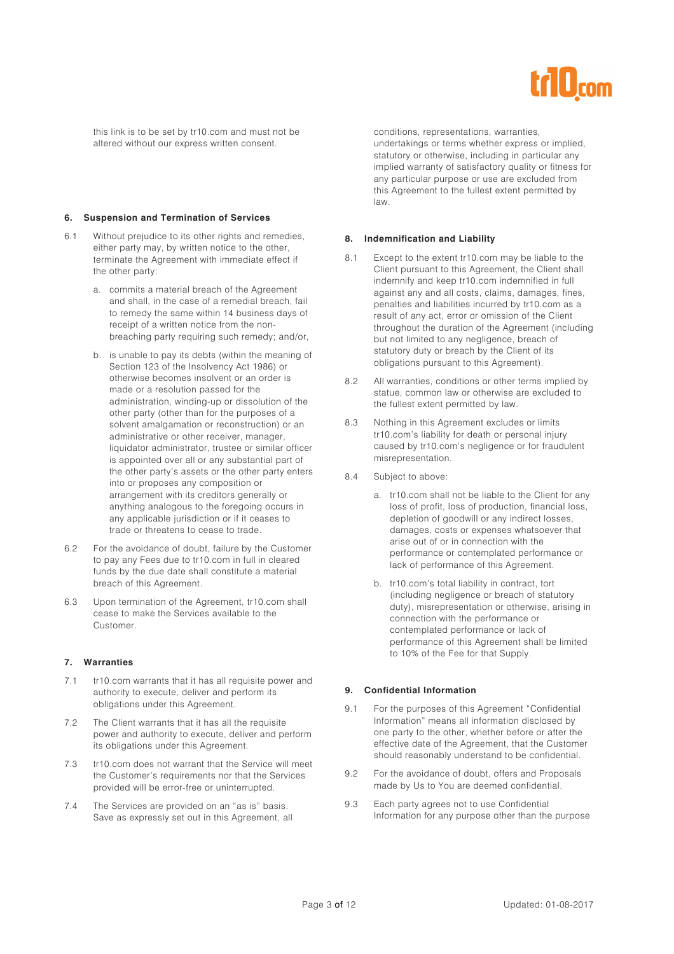

this link is to be set by tr10.com and must not be altered without our express written consent.

#### **6. Suspension and Termination of Services**

- 6.1 Without prejudice to its other rights and remedies, either party may, by written notice to the other, terminate the Agreement with immediate effect if the other party:
	- a. commits a material breach of the Agreement and shall, in the case of a remedial breach, fail to remedy the same within 14 business days of receipt of a written notice from the nonbreaching party requiring such remedy; and/or,
	- b. is unable to pay its debts (within the meaning of Section 123 of the Insolvency Act 1986) or otherwise becomes insolvent or an order is made or a resolution passed for the administration, winding-up or dissolution of the other party (other than for the purposes of a solvent amalgamation or reconstruction) or an administrative or other receiver, manager, liquidator administrator, trustee or similar officer is appointed over all or any substantial part of the other party's assets or the other party enters into or proposes any composition or arrangement with its creditors generally or anything analogous to the foregoing occurs in any applicable jurisdiction or if it ceases to trade or threatens to cease to trade.
- 6.2 For the avoidance of doubt, failure by the Customer to pay any Fees due to tr10.com in full in cleared funds by the due date shall constitute a material breach of this Agreement.
- 6.3 Upon termination of the Agreement, tr10.com shall cease to make the Services available to the Customer.

#### **7. Warranties**

- 7.1 tr10.com warrants that it has all requisite power and authority to execute, deliver and perform its obligations under this Agreement.
- 7.2 The Client warrants that it has all the requisite power and authority to execute, deliver and perform its obligations under this Agreement.
- 7.3 tr10.com does not warrant that the Service will meet the Customer's requirements nor that the Services provided will be error-free or uninterrupted.
- 7.4 The Services are provided on an "as is" basis. Save as expressly set out in this Agreement, all

conditions, representations, warranties, undertakings or terms whether express or implied, statutory or otherwise, including in particular any implied warranty of satisfactory quality or fitness for any particular purpose or use are excluded from this Agreement to the fullest extent permitted by law.

#### **8. Indemnification and Liability**

- 8.1 Except to the extent tr10.com may be liable to the Client pursuant to this Agreement, the Client shall indemnify and keep tr10.com indemnified in full against any and all costs, claims, damages, fines, penalties and liabilities incurred by tr10.com as a result of any act, error or omission of the Client throughout the duration of the Agreement (including but not limited to any negligence, breach of statutory duty or breach by the Client of its obligations pursuant to this Agreement).
- 8.2 All warranties, conditions or other terms implied by statue, common law or otherwise are excluded to the fullest extent permitted by law.
- 8.3 Nothing in this Agreement excludes or limits tr10.com's liability for death or personal injury caused by tr10.com's negligence or for fraudulent misrepresentation.
- 8.4 Subject to above:
	- a. tr10.com shall not be liable to the Client for any loss of profit, loss of production, financial loss, depletion of goodwill or any indirect losses, damages, costs or expenses whatsoever that arise out of or in connection with the performance or contemplated performance or lack of performance of this Agreement.
	- b. tr10.com's total liability in contract, tort (including negligence or breach of statutory duty), misrepresentation or otherwise, arising in connection with the performance or contemplated performance or lack of performance of this Agreement shall be limited to 10% of the Fee for that Supply.

#### **9. Confidential Information**

- 9.1 For the purposes of this Agreement "Confidential Information" means all information disclosed by one party to the other, whether before or after the effective date of the Agreement, that the Customer should reasonably understand to be confidential.
- 9.2 For the avoidance of doubt, offers and Proposals made by Us to You are deemed confidential.
- 9.3 Each party agrees not to use Confidential Information for any purpose other than the purpose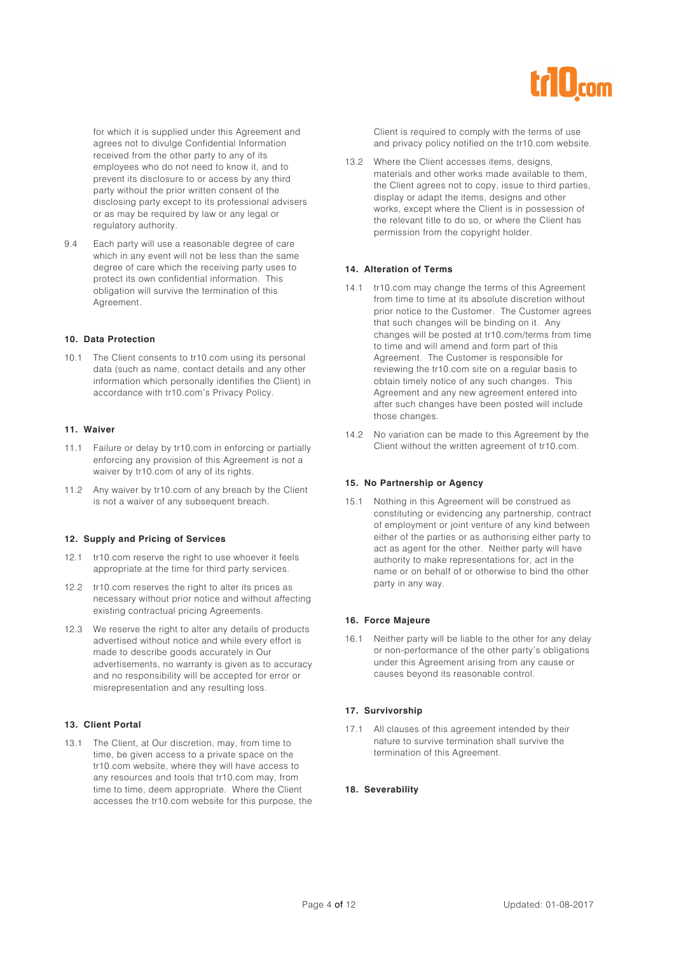

for which it is supplied under this Agreement and agrees not to divulge Confidential Information received from the other party to any of its employees who do not need to know it, and to prevent its disclosure to or access by any third party without the prior written consent of the disclosing party except to its professional advisers or as may be required by law or any legal or regulatory authority.

9.4 Each party will use a reasonable degree of care which in any event will not be less than the same degree of care which the receiving party uses to protect its own confidential information. This obligation will survive the termination of this Agreement.

#### **10. Data Protection**

10.1 The Client consents to tr10.com using its personal data (such as name, contact details and any other information which personally identifies the Client) in accordance with tr10.com's Privacy Policy.

#### **11. Waiver**

- 11.1 Failure or delay by tr10.com in enforcing or partially enforcing any provision of this Agreement is not a waiver by tr10.com of any of its rights.
- 11.2 Any waiver by tr10.com of any breach by the Client is not a waiver of any subsequent breach.

#### **12. Supply and Pricing of Services**

- 12.1 tr10.com reserve the right to use whoever it feels appropriate at the time for third party services.
- 12.2 tr10.com reserves the right to alter its prices as necessary without prior notice and without affecting existing contractual pricing Agreements.
- 12.3 We reserve the right to alter any details of products advertised without notice and while every effort is made to describe goods accurately in Our advertisements, no warranty is given as to accuracy and no responsibility will be accepted for error or misrepresentation and any resulting loss.

#### **13. Client Portal**

13.1 The Client, at Our discretion, may, from time to time, be given access to a private space on the tr10.com website, where they will have access to any resources and tools that tr10.com may, from time to time, deem appropriate. Where the Client accesses the tr10.com website for this purpose, the Client is required to comply with the terms of use and privacy policy notified on the tr10.com website.

13.2 Where the Client accesses items, designs, materials and other works made available to them, the Client agrees not to copy, issue to third parties, display or adapt the items, designs and other works, except where the Client is in possession of the relevant title to do so, or where the Client has permission from the copyright holder.

#### **14. Alteration of Terms**

- 14.1 tr10.com may change the terms of this Agreement from time to time at its absolute discretion without prior notice to the Customer. The Customer agrees that such changes will be binding on it. Any changes will be posted at tr10.com/terms from time to time and will amend and form part of this Agreement. The Customer is responsible for reviewing the tr10.com site on a regular basis to obtain timely notice of any such changes. This Agreement and any new agreement entered into after such changes have been posted will include those changes.
- 14.2 No variation can be made to this Agreement by the Client without the written agreement of tr10.com.

#### **15. No Partnership or Agency**

15.1 Nothing in this Agreement will be construed as constituting or evidencing any partnership, contract of employment or joint venture of any kind between either of the parties or as authorising either party to act as agent for the other. Neither party will have authority to make representations for, act in the name or on behalf of or otherwise to bind the other party in any way.

#### **16. Force Majeure**

16.1 Neither party will be liable to the other for any delay or non-performance of the other party's obligations under this Agreement arising from any cause or causes beyond its reasonable control.

#### **17. Survivorship**

17.1 All clauses of this agreement intended by their nature to survive termination shall survive the termination of this Agreement.

#### **18. Severability**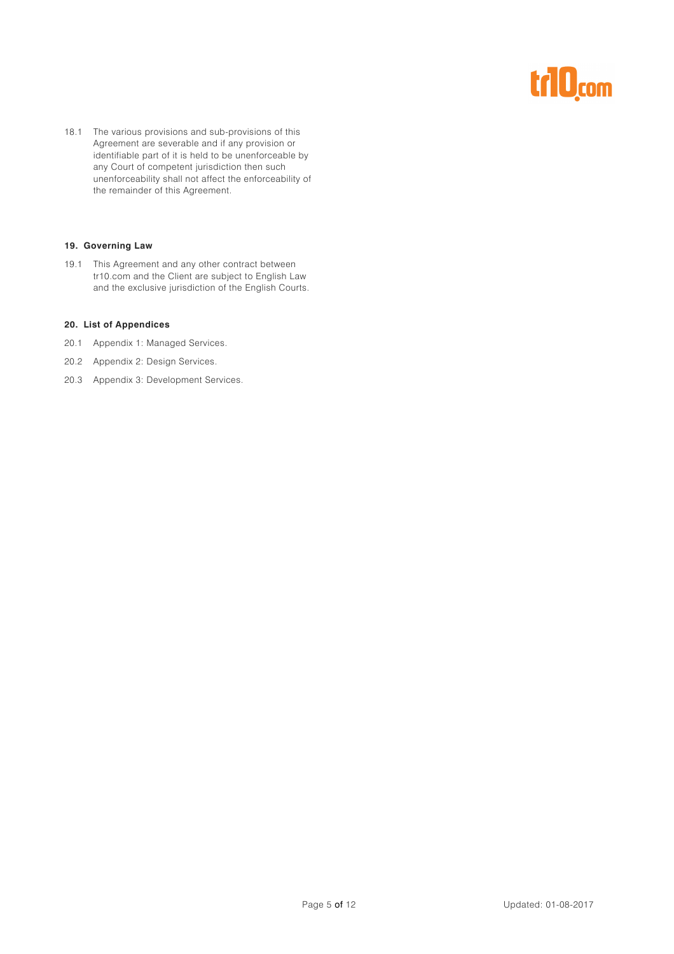# r10<sub>com</sub>

18.1 The various provisions and sub-provisions of this Agreement are severable and if any provision or identifiable part of it is held to be unenforceable by any Court of competent jurisdiction then such unenforceability shall not affect the enforceability of the remainder of this Agreement.

#### **19. Governing Law**

19.1 This Agreement and any other contract between tr10.com and the Client are subject to English Law and the exclusive jurisdiction of the English Courts.

#### **20. List of Appendices**

- 20.1 Appendix 1: Managed Services.
- 20.2 Appendix 2: Design Services.
- 20.3 Appendix 3: Development Services.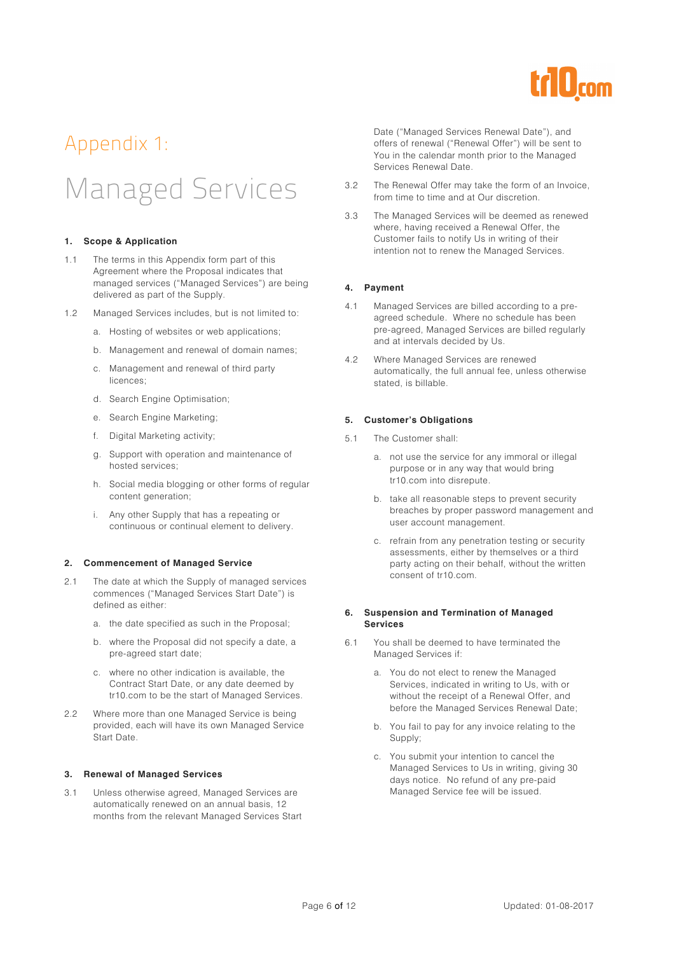

### Appendix 1:

# Managed Services

#### **1. Scope & Application**

- 1.1 The terms in this Appendix form part of this Agreement where the Proposal indicates that managed services ("Managed Services") are being delivered as part of the Supply.
- 1.2 Managed Services includes, but is not limited to:
	- a. Hosting of websites or web applications;
	- b. Management and renewal of domain names;
	- c. Management and renewal of third party licences;
	- d. Search Engine Optimisation;
	- e. Search Engine Marketing;
	- f. Digital Marketing activity;
	- g. Support with operation and maintenance of hosted services;
	- h. Social media blogging or other forms of regular content generation;
	- i. Any other Supply that has a repeating or continuous or continual element to delivery.

#### **2. Commencement of Managed Service**

- 2.1 The date at which the Supply of managed services commences ("Managed Services Start Date") is defined as either:
	- a. the date specified as such in the Proposal;
	- b. where the Proposal did not specify a date, a pre-agreed start date;
	- c. where no other indication is available, the Contract Start Date, or any date deemed by tr10.com to be the start of Managed Services.
- 2.2 Where more than one Managed Service is being provided, each will have its own Managed Service Start Date.

#### **3. Renewal of Managed Services**

3.1 Unless otherwise agreed, Managed Services are automatically renewed on an annual basis, 12 months from the relevant Managed Services Start Date ("Managed Services Renewal Date"), and offers of renewal ("Renewal Offer") will be sent to You in the calendar month prior to the Managed Services Renewal Date.

- 3.2 The Renewal Offer may take the form of an Invoice, from time to time and at Our discretion.
- 3.3 The Managed Services will be deemed as renewed where, having received a Renewal Offer, the Customer fails to notify Us in writing of their intention not to renew the Managed Services.

#### **4. Payment**

- 4.1 Managed Services are billed according to a preagreed schedule. Where no schedule has been pre-agreed, Managed Services are billed regularly and at intervals decided by Us.
- 4.2 Where Managed Services are renewed automatically, the full annual fee, unless otherwise stated, is billable.

#### **5. Customer's Obligations**

- 5.1 The Customer shall:
	- a. not use the service for any immoral or illegal purpose or in any way that would bring tr10.com into disrepute.
	- b. take all reasonable steps to prevent security breaches by proper password management and user account management.
	- c. refrain from any penetration testing or security assessments, either by themselves or a third party acting on their behalf, without the written consent of tr10.com.

#### **6. Suspension and Termination of Managed Services**

- 6.1 You shall be deemed to have terminated the Managed Services if:
	- a. You do not elect to renew the Managed Services, indicated in writing to Us, with or without the receipt of a Renewal Offer, and before the Managed Services Renewal Date;
	- b. You fail to pay for any invoice relating to the Supply;
	- c. You submit your intention to cancel the Managed Services to Us in writing, giving 30 days notice. No refund of any pre-paid Managed Service fee will be issued.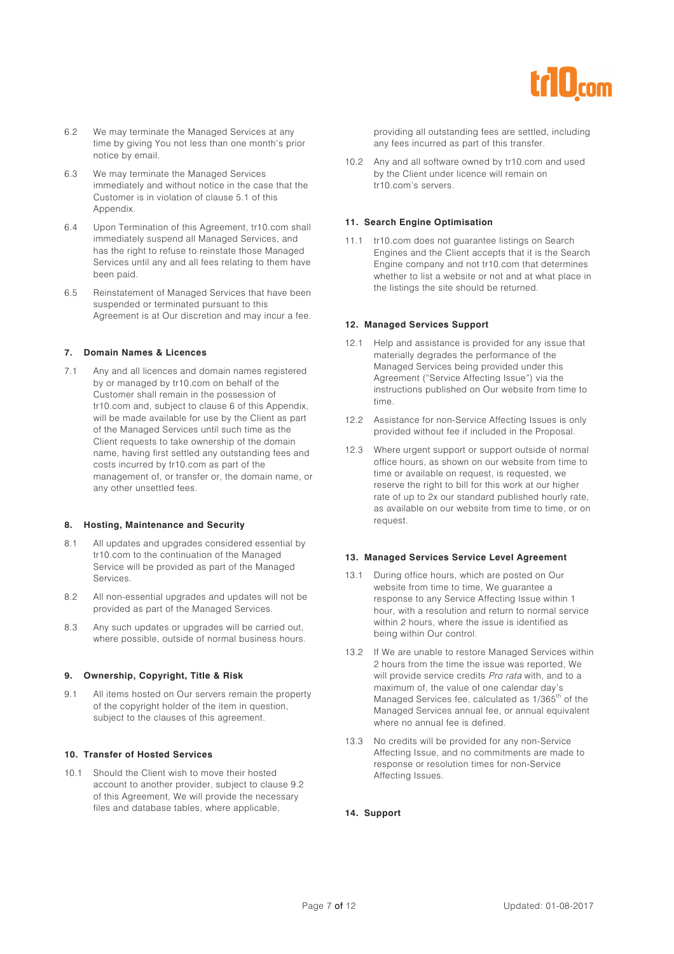

- 6.2 We may terminate the Managed Services at any time by giving You not less than one month's prior notice by email.
- 6.3 We may terminate the Managed Services immediately and without notice in the case that the Customer is in violation of clause 5.1 of this Appendix.
- 6.4 Upon Termination of this Agreement, tr10.com shall immediately suspend all Managed Services, and has the right to refuse to reinstate those Managed Services until any and all fees relating to them have been paid.
- 6.5 Reinstatement of Managed Services that have been suspended or terminated pursuant to this Agreement is at Our discretion and may incur a fee.

#### **7. Domain Names & Licences**

7.1 Any and all licences and domain names registered by or managed by tr10.com on behalf of the Customer shall remain in the possession of tr10.com and, subject to clause 6 of this Appendix, will be made available for use by the Client as part of the Managed Services until such time as the Client requests to take ownership of the domain name, having first settled any outstanding fees and costs incurred by tr10.com as part of the management of, or transfer or, the domain name, or any other unsettled fees.

#### **8. Hosting, Maintenance and Security**

- 8.1 All updates and upgrades considered essential by tr10.com to the continuation of the Managed Service will be provided as part of the Managed Services.
- 8.2 All non-essential upgrades and updates will not be provided as part of the Managed Services.
- 8.3 Any such updates or upgrades will be carried out, where possible, outside of normal business hours.

#### **9. Ownership, Copyright, Title & Risk**

9.1 All items hosted on Our servers remain the property of the copyright holder of the item in question, subject to the clauses of this agreement.

#### **10. Transfer of Hosted Services**

10.1 Should the Client wish to move their hosted account to another provider, subject to clause 9.2 of this Agreement, We will provide the necessary files and database tables, where applicable,

providing all outstanding fees are settled, including any fees incurred as part of this transfer.

10.2 Any and all software owned by tr10.com and used by the Client under licence will remain on tr10.com's servers.

#### **11. Search Engine Optimisation**

11.1 tr10.com does not guarantee listings on Search Engines and the Client accepts that it is the Search Engine company and not tr10.com that determines whether to list a website or not and at what place in the listings the site should be returned.

#### **12. Managed Services Support**

- 12.1 Help and assistance is provided for any issue that materially degrades the performance of the Managed Services being provided under this Agreement ("Service Affecting Issue") via the instructions published on Our website from time to time.
- 12.2 Assistance for non-Service Affecting Issues is only provided without fee if included in the Proposal.
- 12.3 Where urgent support or support outside of normal office hours, as shown on our website from time to time or available on request, is requested, we reserve the right to bill for this work at our higher rate of up to 2x our standard published hourly rate, as available on our website from time to time, or on request.

#### **13. Managed Services Service Level Agreement**

- 13.1 During office hours, which are posted on Our website from time to time, We guarantee a response to any Service Affecting Issue within 1 hour, with a resolution and return to normal service within 2 hours, where the issue is identified as being within Our control.
- 13.2 If We are unable to restore Managed Services within 2 hours from the time the issue was reported, We will provide service credits Pro rata with, and to a maximum of, the value of one calendar day's Managed Services fee, calculated as 1/365<sup>th</sup> of the Managed Services annual fee, or annual equivalent where no annual fee is defined.
- 13.3 No credits will be provided for any non-Service Affecting Issue, and no commitments are made to response or resolution times for non-Service Affecting Issues.

#### **14. Support**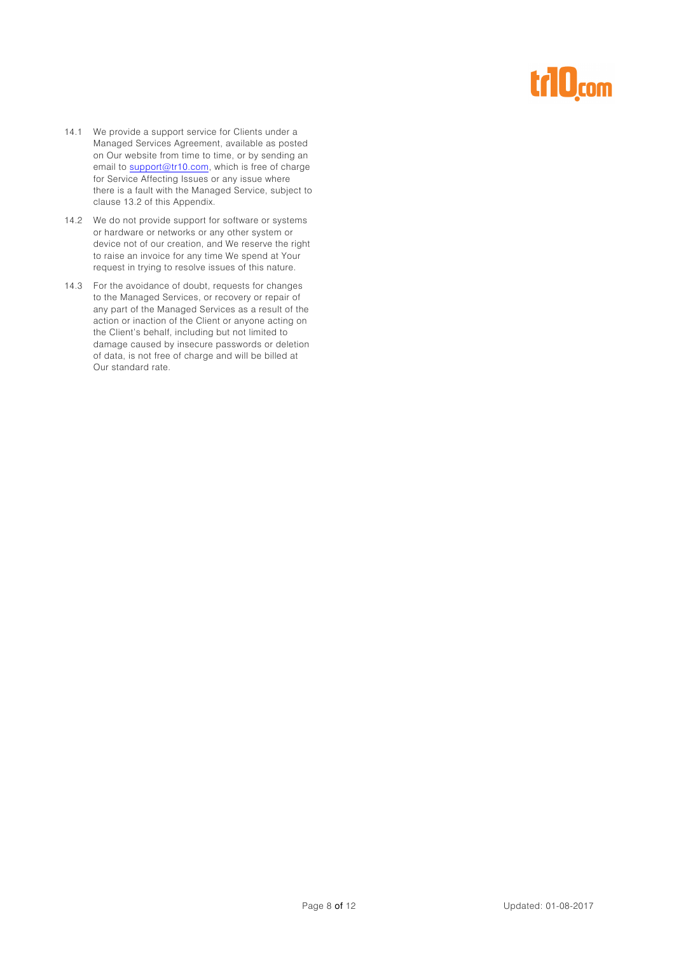# r10com

- 14.1 We provide a support service for Clients under a Managed Services Agreement, available as posted on Our website from time to time, or by sending an email to **support@tr10.com**, which is free of charge for Service Affecting Issues or any issue where there is a fault with the Managed Service, subject to clause 13.2 of this Appendix.
- 14.2 We do not provide support for software or systems or hardware or networks or any other system or device not of our creation, and We reserve the right to raise an invoice for any time We spend at Your request in trying to resolve issues of this nature.
- 14.3 For the avoidance of doubt, requests for changes to the Managed Services, or recovery or repair of any part of the Managed Services as a result of the action or inaction of the Client or anyone acting on the Client's behalf, including but not limited to damage caused by insecure passwords or deletion of data, is not free of charge and will be billed at Our standard rate.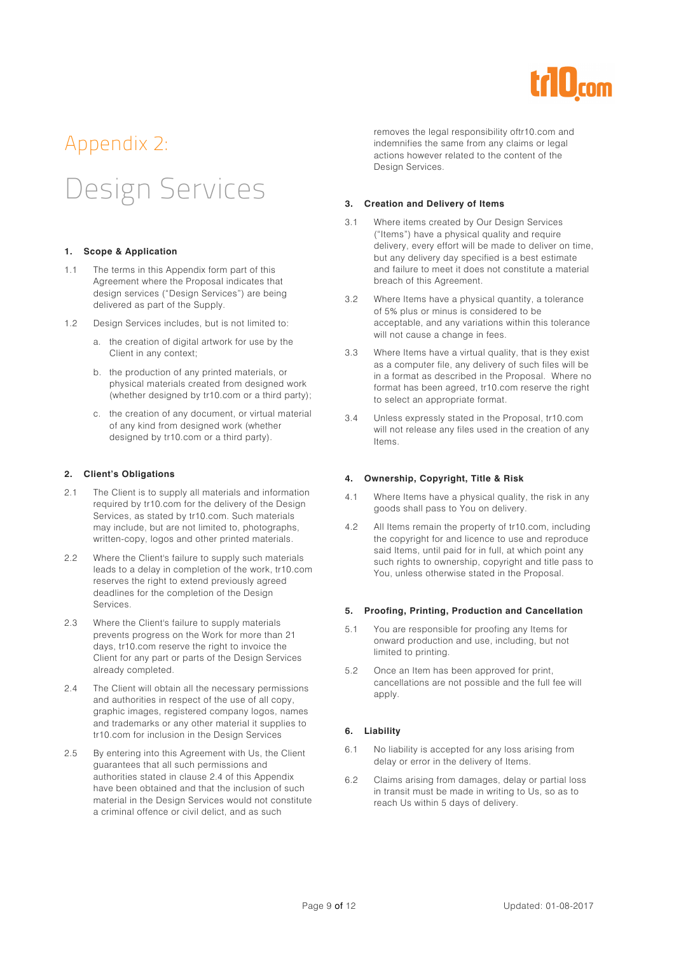

# Appendix 2:

# Design Services

#### **1. Scope & Application**

- 1.1 The terms in this Appendix form part of this Agreement where the Proposal indicates that design services ("Design Services") are being delivered as part of the Supply.
- 1.2 Design Services includes, but is not limited to:
	- a. the creation of digital artwork for use by the Client in any context;
	- b. the production of any printed materials, or physical materials created from designed work (whether designed by tr10.com or a third party);
	- c. the creation of any document, or virtual material of any kind from designed work (whether designed by tr10.com or a third party).

#### **2. Client's Obligations**

- 2.1 The Client is to supply all materials and information required by tr10.com for the delivery of the Design Services, as stated by tr10.com. Such materials may include, but are not limited to, photographs, written-copy, logos and other printed materials.
- 2.2 Where the Client's failure to supply such materials leads to a delay in completion of the work, tr10.com reserves the right to extend previously agreed deadlines for the completion of the Design Services.
- 2.3 Where the Client's failure to supply materials prevents progress on the Work for more than 21 days, tr10.com reserve the right to invoice the Client for any part or parts of the Design Services already completed.
- 2.4 The Client will obtain all the necessary permissions and authorities in respect of the use of all copy, graphic images, registered company logos, names and trademarks or any other material it supplies to tr10.com for inclusion in the Design Services
- 2.5 By entering into this Agreement with Us, the Client guarantees that all such permissions and authorities stated in clause 2.4 of this Appendix have been obtained and that the inclusion of such material in the Design Services would not constitute a criminal offence or civil delict, and as such

removes the legal responsibility oftr10.com and indemnifies the same from any claims or legal actions however related to the content of the Design Services.

#### **3. Creation and Delivery of Items**

- 3.1 Where items created by Our Design Services ("Items") have a physical quality and require delivery, every effort will be made to deliver on time, but any delivery day specified is a best estimate and failure to meet it does not constitute a material breach of this Agreement.
- 3.2 Where Items have a physical quantity, a tolerance of 5% plus or minus is considered to be acceptable, and any variations within this tolerance will not cause a change in fees.
- 3.3 Where Items have a virtual quality, that is they exist as a computer file, any delivery of such files will be in a format as described in the Proposal. Where no format has been agreed, tr10.com reserve the right to select an appropriate format.
- 3.4 Unless expressly stated in the Proposal, tr10.com will not release any files used in the creation of any Items.

#### **4. Ownership, Copyright, Title & Risk**

- 4.1 Where Items have a physical quality, the risk in any goods shall pass to You on delivery.
- 4.2 All Items remain the property of tr10.com, including the copyright for and licence to use and reproduce said Items, until paid for in full, at which point any such rights to ownership, copyright and title pass to You, unless otherwise stated in the Proposal.

#### **5. Proofing, Printing, Production and Cancellation**

- 5.1 You are responsible for proofing any Items for onward production and use, including, but not limited to printing.
- 5.2 Once an Item has been approved for print, cancellations are not possible and the full fee will apply.

#### **6. Liability**

- 6.1 No liability is accepted for any loss arising from delay or error in the delivery of Items.
- 6.2 Claims arising from damages, delay or partial loss in transit must be made in writing to Us, so as to reach Us within 5 days of delivery.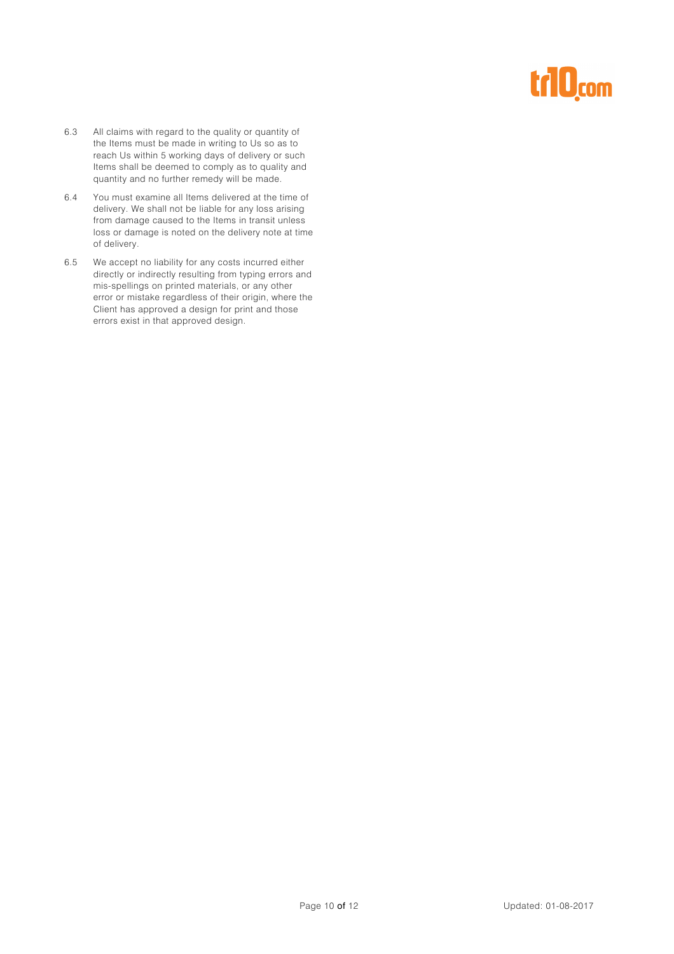# trl0<sub>com</sub>

- 6.3 All claims with regard to the quality or quantity of the Items must be made in writing to Us so as to reach Us within 5 working days of delivery or such Items shall be deemed to comply as to quality and quantity and no further remedy will be made.
- 6.4 You must examine all Items delivered at the time of delivery. We shall not be liable for any loss arising from damage caused to the Items in transit unless loss or damage is noted on the delivery note at time of delivery.
- 6.5 We accept no liability for any costs incurred either directly or indirectly resulting from typing errors and mis-spellings on printed materials, or any other error or mistake regardless of their origin, where the Client has approved a design for print and those errors exist in that approved design.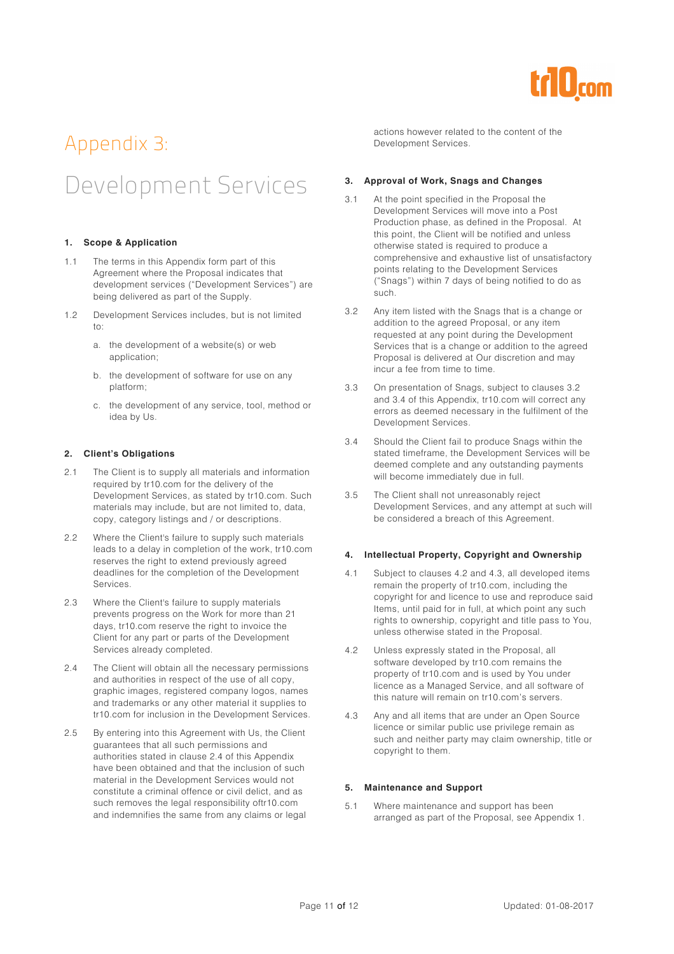

### Appendix 3: Development Services

#### **1. Scope & Application**

- 1.1 The terms in this Appendix form part of this Agreement where the Proposal indicates that development services ("Development Services") are being delivered as part of the Supply.
- 1.2 Development Services includes, but is not limited to:
	- a. the development of a website(s) or web application;
	- b. the development of software for use on any platform;
	- c. the development of any service, tool, method or idea by Us.

#### **2. Client's Obligations**

- 2.1 The Client is to supply all materials and information required by tr10.com for the delivery of the Development Services, as stated by tr10.com. Such materials may include, but are not limited to, data, copy, category listings and / or descriptions.
- 2.2 Where the Client's failure to supply such materials leads to a delay in completion of the work, tr10.com reserves the right to extend previously agreed deadlines for the completion of the Development Services.
- 2.3 Where the Client's failure to supply materials prevents progress on the Work for more than 21 days, tr10.com reserve the right to invoice the Client for any part or parts of the Development Services already completed.
- 2.4 The Client will obtain all the necessary permissions and authorities in respect of the use of all copy, graphic images, registered company logos, names and trademarks or any other material it supplies to tr10.com for inclusion in the Development Services.
- 2.5 By entering into this Agreement with Us, the Client guarantees that all such permissions and authorities stated in clause 2.4 of this Appendix have been obtained and that the inclusion of such material in the Development Services would not constitute a criminal offence or civil delict, and as such removes the legal responsibility oftr10.com and indemnifies the same from any claims or legal

actions however related to the content of the Development Services.

#### **3. Approval of Work, Snags and Changes**

- 3.1 At the point specified in the Proposal the Development Services will move into a Post Production phase, as defined in the Proposal. At this point, the Client will be notified and unless otherwise stated is required to produce a comprehensive and exhaustive list of unsatisfactory points relating to the Development Services ("Snags") within 7 days of being notified to do as such.
- 3.2 Any item listed with the Snags that is a change or addition to the agreed Proposal, or any item requested at any point during the Development Services that is a change or addition to the agreed Proposal is delivered at Our discretion and may incur a fee from time to time.
- 3.3 On presentation of Snags, subject to clauses 3.2 and 3.4 of this Appendix, tr10.com will correct any errors as deemed necessary in the fulfilment of the Development Services.
- 3.4 Should the Client fail to produce Snags within the stated timeframe, the Development Services will be deemed complete and any outstanding payments will become immediately due in full.
- 3.5 The Client shall not unreasonably reject Development Services, and any attempt at such will be considered a breach of this Agreement.

#### **4. Intellectual Property, Copyright and Ownership**

- 4.1 Subject to clauses 4.2 and 4.3, all developed items remain the property of tr10.com, including the copyright for and licence to use and reproduce said Items, until paid for in full, at which point any such rights to ownership, copyright and title pass to You, unless otherwise stated in the Proposal.
- 4.2 Unless expressly stated in the Proposal, all software developed by tr10.com remains the property of tr10.com and is used by You under licence as a Managed Service, and all software of this nature will remain on tr10.com's servers.
- 4.3 Any and all items that are under an Open Source licence or similar public use privilege remain as such and neither party may claim ownership, title or copyright to them.

#### **5. Maintenance and Support**

5.1 Where maintenance and support has been arranged as part of the Proposal, see Appendix 1.